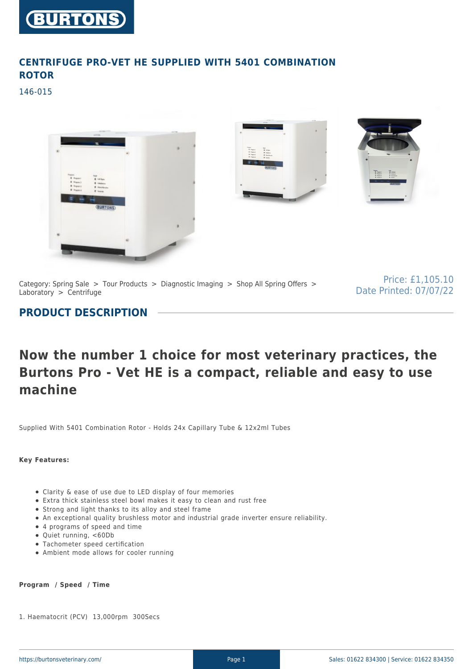

## **CENTRIFUGE PRO-VET HE SUPPLIED WITH 5401 COMBINATION ROTOR**

146-015



Category: Spring Sale > Tour Products > Diagnostic Imaging > Shop All Spring Offers > Laboratory  $>$  Centrifuge

Price: £1,105.10 Date Printed: 07/07/22

## **PRODUCT DESCRIPTION**

# **Now the number 1 choice for most veterinary practices, the Burtons Pro - Vet HE is a compact, reliable and easy to use machine**

Supplied With 5401 Combination Rotor - Holds 24x Capillary Tube & 12x2ml Tubes

**Key Features:**

- Clarity & ease of use due to LED display of four memories
- Extra thick stainless steel bowl makes it easy to clean and rust free
- Strong and light thanks to its alloy and steel frame
- An exceptional quality brushless motor and industrial grade inverter ensure reliability.
- 4 programs of speed and time
- Quiet running, <60Db
- Tachometer speed certification
- Ambient mode allows for cooler running

#### **Program / Speed / Time**

1. Haematocrit (PCV) 13,000rpm 300Secs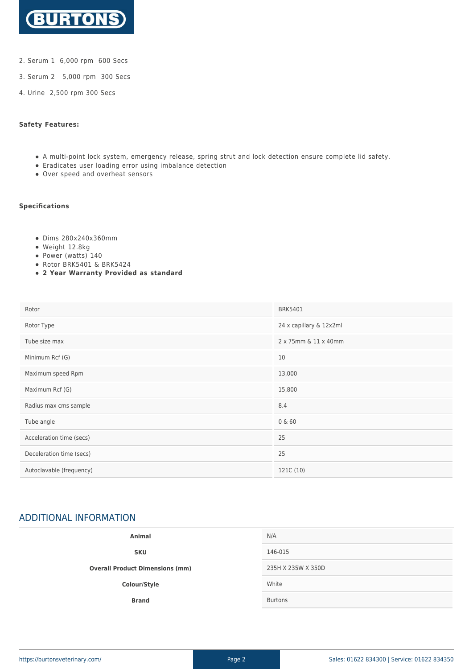

- 2. Serum 1 6,000 rpm 600 Secs
- 3. Serum 2 5,000 rpm 300 Secs
- 4. Urine 2,500 rpm 300 Secs

#### **Safety Features:**

- A multi-point lock system, emergency release, spring strut and lock detection ensure complete lid safety.
- Eradicates user loading error using imbalance detection
- Over speed and overheat sensors

#### **Specifications**

- Dims 280x240x360mm
- Weight 12.8kg
- Power (watts) 140
- Rotor BRK5401 & BRK5424
- **2 Year Warranty Provided as standard**

| Rotor                    | <b>BRK5401</b>          |
|--------------------------|-------------------------|
| Rotor Type               | 24 x capillary & 12x2ml |
| Tube size max            | 2 x 75mm & 11 x 40mm    |
| Minimum Rcf (G)          | 10                      |
| Maximum speed Rpm        | 13,000                  |
| Maximum Rcf (G)          | 15,800                  |
| Radius max cms sample    | 8.4                     |
| Tube angle               | 0 & 60                  |
| Acceleration time (secs) | 25                      |
| Deceleration time (secs) | 25                      |
| Autoclavable (frequency) | 121C (10)               |

## ADDITIONAL INFORMATION

| Animal                                 | N/A                |
|----------------------------------------|--------------------|
| <b>SKU</b>                             | 146-015            |
| <b>Overall Product Dimensions (mm)</b> | 235H X 235W X 350D |
| Colour/Style                           | White              |
| <b>Brand</b>                           | <b>Burtons</b>     |